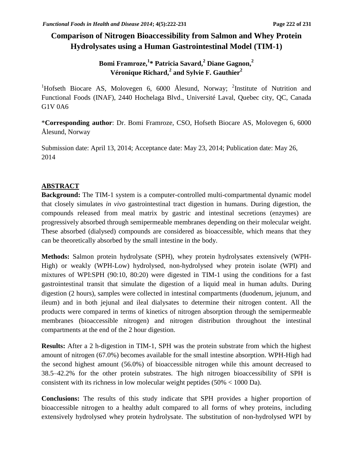# **Comparison of Nitrogen Bioaccessibility from Salmon and Whey Protein Hydrolysates using a Human Gastrointestinal Model (TIM-1)**

# **Bomi Framroze, 1 \* Patricia Savard,<sup>2</sup> Diane Gagnon,<sup>2</sup> Véronique Richard,<sup>2</sup> and Sylvie F. Gauthier<sup>2</sup>**

<sup>1</sup>Hofseth Biocare AS, Molovegen 6, 6000 Ålesund, Norway; <sup>2</sup>Institute of Nutrition and Functional Foods (INAF), 2440 Hochelaga Blvd., Université Laval, Quebec city, QC, Canada G1V 0A6

\***Corresponding author**: Dr. Bomi Framroze, CSO, Hofseth Biocare AS, Molovegen 6, 6000 Ålesund, Norway

Submission date: April 13, 2014; Acceptance date: May 23, 2014; Publication date: May 26, 2014

## **ABSTRACT**

**Background:** The TIM-1 system is a computer-controlled multi-compartmental dynamic model that closely simulates *in vivo* gastrointestinal tract digestion in humans. During digestion, the compounds released from meal matrix by gastric and intestinal secretions (enzymes) are progressively absorbed through semipermeable membranes depending on their molecular weight. These absorbed (dialysed) compounds are considered as bioaccessible, which means that they can be theoretically absorbed by the small intestine in the body.

**Methods:** Salmon protein hydrolysate (SPH), whey protein hydrolysates extensively (WPH-High) or weakly (WPH-Low) hydrolysed, non-hydrolysed whey protein isolate (WPI) and mixtures of WPI:SPH (90:10, 80:20) were digested in TIM-1 using the conditions for a fast gastrointestinal transit that simulate the digestion of a liquid meal in human adults. During digestion (2 hours), samples were collected in intestinal compartments (duodenum, jejunum, and ileum) and in both jejunal and ileal dialysates to determine their nitrogen content. All the products were compared in terms of kinetics of nitrogen absorption through the semipermeable membranes (bioaccessible nitrogen) and nitrogen distribution throughout the intestinal compartments at the end of the 2 hour digestion.

**Results:** After a 2 h-digestion in TIM-1, SPH was the protein substrate from which the highest amount of nitrogen (67.0%) becomes available for the small intestine absorption. WPH-High had the second highest amount (56.0%) of bioaccessible nitrogen while this amount decreased to 38.5–42.2% for the other protein substrates. The high nitrogen bioaccessibility of SPH is consistent with its richness in low molecular weight peptides (50% < 1000 Da).

**Conclusions:** The results of this study indicate that SPH provides a higher proportion of bioaccessible nitrogen to a healthy adult compared to all forms of whey proteins, including extensively hydrolysed whey protein hydrolysate. The substitution of non-hydrolysed WPI by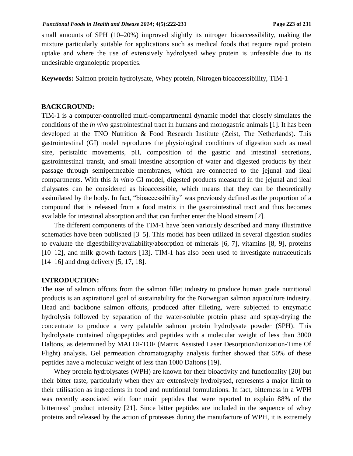small amounts of SPH (10–20%) improved slightly its nitrogen bioaccessibility, making the mixture particularly suitable for applications such as medical foods that require rapid protein uptake and where the use of extensively hydrolysed whey protein is unfeasible due to its undesirable organoleptic properties.

**Keywords:** Salmon protein hydrolysate, Whey protein, Nitrogen bioaccessibility, TIM-1

### **BACKGROUND:**

TIM-1 is a computer-controlled multi-compartmental dynamic model that closely simulates the conditions of the *in vivo* gastrointestinal tract in humans and monogastric animals [1]. It has been developed at the TNO Nutrition & Food Research Institute (Zeist, The Netherlands). This gastrointestinal (GI) model reproduces the physiological conditions of digestion such as meal size, peristaltic movements, pH, composition of the gastric and intestinal secretions, gastrointestinal transit, and small intestine absorption of water and digested products by their passage through semipermeable membranes, which are connected to the jejunal and ileal compartments. With this *in vitro* GI model, digested products measured in the jejunal and ileal dialysates can be considered as bioaccessible, which means that they can be theoretically assimilated by the body. In fact, "bioaccessibility" was previously defined as the proportion of a compound that is released from a food matrix in the gastrointestinal tract and thus becomes available for intestinal absorption and that can further enter the blood stream [2].

The different components of the TIM-1 have been variously described and many illustrative schematics have been published [3–5]. This model has been utilized in several digestion studies to evaluate the digestibility/availability/absorption of minerals [6, 7], vitamins [8, 9], proteins [10–12], and milk growth factors [13]. TIM-1 has also been used to investigate nutraceuticals [14–16] and drug delivery [5, 17, 18].

### **INTRODUCTION:**

The use of salmon offcuts from the salmon fillet industry to produce human grade nutritional products is an aspirational goal of sustainability for the Norwegian salmon aquaculture industry. Head and backbone salmon offcuts, produced after filleting, were subjected to enzymatic hydrolysis followed by separation of the water-soluble protein phase and spray-drying the concentrate to produce a very palatable salmon protein hydrolysate powder (SPH). This hydrolysate contained oligopeptides and peptides with a molecular weight of less than 3000 Daltons, as determined by MALDI-TOF (Matrix Assisted Laser Desorption/Ionization-Time Of Flight) analysis. Gel permeation chromatography analysis further showed that 50% of these peptides have a molecular weight of less than 1000 Daltons [19].

Whey protein hydrolysates (WPH) are known for their bioactivity and functionality [20] but their bitter taste, particularly when they are extensively hydrolysed, represents a major limit to their utilisation as ingredients in food and nutritional formulations. In fact, bitterness in a WPH was recently associated with four main peptides that were reported to explain 88% of the bitterness' product intensity [21]. Since bitter peptides are included in the sequence of whey proteins and released by the action of proteases during the manufacture of WPH, it is extremely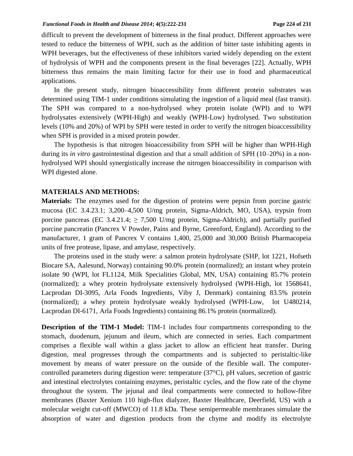difficult to prevent the development of bitterness in the final product. Different approaches were tested to reduce the bitterness of WPH, such as the addition of bitter taste inhibiting agents in WPH beverages, but the effectiveness of these inhibitors varied widely depending on the extent of hydrolysis of WPH and the components present in the final beverages [22]. Actually, WPH bitterness thus remains the main limiting factor for their use in food and pharmaceutical applications.

In the present study, nitrogen bioaccessibility from different protein substrates was determined using TIM-1 under conditions simulating the ingestion of a liquid meal (fast transit). The SPH was compared to a non-hydrolysed whey protein isolate (WPI) and to WPI hydrolysates extensively (WPH-High) and weakly (WPH-Low) hydrolysed. Two substitution levels (10% and 20%) of WPI by SPH were tested in order to verify the nitrogen bioaccessibility when SPH is provided in a mixed protein powder.

The hypothesis is that nitrogen bioaccessibility from SPH will be higher than WPH-High during its *in vitro* gastrointestinal digestion and that a small addition of SPH (10–20%) in a nonhydrolysed WPI should synergistically increase the nitrogen bioaccessibility in comparison with WPI digested alone.

### **MATERIALS AND METHODS:**

**Materials:** The enzymes used for the digestion of proteins were pepsin from porcine gastric mucosa (EC 3.4.23.1; 3,200–4,500 U/mg protein, Sigma-Aldrich, MO, USA), trypsin from porcine pancreas (EC 3.4.21.4;  $\geq$  7,500 U/mg protein, Sigma-Aldrich), and partially purified porcine pancreatin (Pancrex V Powder, Pains and Byrne, Greenford, England). According to the manufacturer, 1 gram of Pancrex V contains 1,400, 25,000 and 30,000 British Pharmacopeia units of free protease, lipase, and amylase, respectively.

The proteins used in the study were: a salmon protein hydrolysate (SHP, lot 1221, Hofseth Biocare SA, Aalesund, Norway) containing 90.0% protein (normalized); an instant whey protein isolate 90 (WPI, lot FL1124, Milk Specialities Global, MN, USA) containing 85.7% protein (normalized); a whey protein hydrolysate extensively hydrolysed (WPH-High, lot 1568641, Lacprodan DI-3095, Arla Foods Ingredients, Viby J, Denmark) containing 83.5% protein (normalized); a whey protein hydrolysate weakly hydrolysed (WPH-Low, lot U480214, Lacprodan DI-6171, Arla Foods Ingredients) containing 86.1% protein (normalized).

**Description of the TIM-1 Model:** TIM-1 includes four compartments corresponding to the stomach, duodenum, jejunum and ileum, which are connected in series. Each compartment comprises a flexible wall within a glass jacket to allow an efficient heat transfer. During digestion, meal progresses through the compartments and is subjected to peristaltic-like movement by means of water pressure on the outside of the flexible wall. The computercontrolled parameters during digestion were: temperature (37°C), pH values, secretion of gastric and intestinal electrolytes containing enzymes, peristaltic cycles, and the flow rate of the chyme throughout the system. The jejunal and ileal compartments were connected to hollow-fibre membranes (Baxter Xenium 110 high-flux dialyzer, Baxter Healthcare, Deerfield, US) with a molecular weight cut-off (MWCO) of 11.8 kDa. These semipermeable membranes simulate the absorption of water and digestion products from the chyme and modify its electrolyte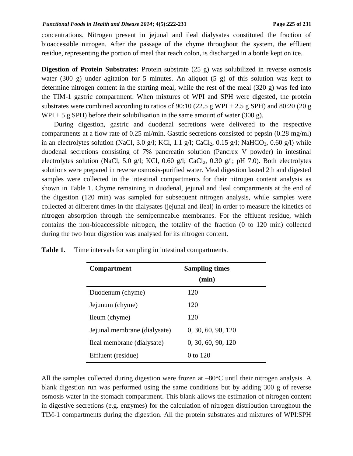concentrations. Nitrogen present in jejunal and ileal dialysates constituted the fraction of bioaccessible nitrogen. After the passage of the chyme throughout the system, the effluent residue, representing the portion of meal that reach colon, is discharged in a bottle kept on ice.

**Digestion of Protein Substrates:** Protein substrate (25 g) was solubilized in reverse osmosis water (300 g) under agitation for 5 minutes. An aliquot (5 g) of this solution was kept to determine nitrogen content in the starting meal, while the rest of the meal (320 g) was fed into the TIM-1 gastric compartment. When mixtures of WPI and SPH were digested, the protein substrates were combined according to ratios of 90:10 (22.5 g WPI + 2.5 g SPH) and 80:20 (20 g  $WPI + 5$  g SPH) before their solubilisation in the same amount of water (300 g).

During digestion, gastric and duodenal secretions were delivered to the respective compartments at a flow rate of 0.25 ml/min. Gastric secretions consisted of pepsin (0.28 mg/ml) in an electrolytes solution (NaCl, 3.0 g/l; KCl, 1.1 g/l; CaCl<sub>2</sub>, 0.15 g/l; NaHCO<sub>3</sub>, 0.60 g/l) while duodenal secretions consisting of 7% pancreatin solution (Pancrex V powder) in intestinal electrolytes solution (NaCl, 5.0 g/l; KCl, 0.60 g/l; CaCl<sub>2</sub>, 0.30 g/l; pH 7.0). Both electrolytes solutions were prepared in reverse osmosis-purified water. Meal digestion lasted 2 h and digested samples were collected in the intestinal compartments for their nitrogen content analysis as shown in Table 1. Chyme remaining in duodenal, jejunal and ileal compartments at the end of the digestion (120 min) was sampled for subsequent nitrogen analysis, while samples were collected at different times in the dialysates (jejunal and ileal) in order to measure the kinetics of nitrogen absorption through the semipermeable membranes. For the effluent residue, which contains the non-bioaccessible nitrogen, the totality of the fraction (0 to 120 min) collected during the two hour digestion was analysed for its nitrogen content.

| <b>Compartment</b>           | <b>Sampling times</b><br>(min) |
|------------------------------|--------------------------------|
| Duodenum (chyme)             | 120                            |
| Jejunum (chyme)              | 120                            |
|                              | 120                            |
| Ileum (chyme)                |                                |
| Jejunal membrane (dialysate) | 0, 30, 60, 90, 120             |
| Ileal membrane (dialysate)   | 0, 30, 60, 90, 120             |
| Effluent (residue)           | 0 to 120                       |

**Table 1.** Time intervals for sampling in intestinal compartments.

All the samples collected during digestion were frozen at  $-80^{\circ}$ C until their nitrogen analysis. A blank digestion run was performed using the same conditions but by adding 300 g of reverse osmosis water in the stomach compartment. This blank allows the estimation of nitrogen content in digestive secretions (e.g. enzymes) for the calculation of nitrogen distribution throughout the TIM-1 compartments during the digestion. All the protein substrates and mixtures of WPI:SPH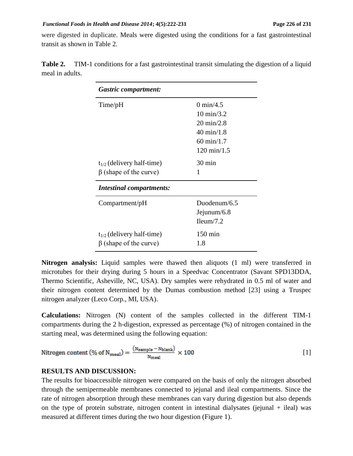#### *Functional Foods in Health and Disease 2014***; 4(5):222-231 Page 226 of 231**

were digested in duplicate. Meals were digested using the conditions for a fast gastrointestinal transit as shown in Table 2.

| <b>Gastric compartment:</b>                                    |                                                                                                                                    |
|----------------------------------------------------------------|------------------------------------------------------------------------------------------------------------------------------------|
| Time/pH                                                        | 0 min/4.5<br>$10 \text{ min}/3.2$<br>$20 \text{ min}/2.8$<br>$40 \text{ min}/1.8$<br>$60 \text{ min}/1.7$<br>$120 \text{ min}/1.5$ |
| $t_{1/2}$ (delivery half-time)<br>$\beta$ (shape of the curve) | $30 \text{ min}$<br>1                                                                                                              |
| <b>Intestinal compartments:</b>                                |                                                                                                                                    |
| Compartment/pH                                                 | Duodenum/6.5<br>Jejunum/6.8<br>$T$ leum/7.2                                                                                        |
| $t_{1/2}$ (delivery half-time)<br>$\beta$ (shape of the curve) | 150 min<br>1.8                                                                                                                     |

**Table 2.** TIM-1 conditions for a fast gastrointestinal transit simulating the digestion of a liquid meal in adults.

**Nitrogen analysis:** Liquid samples were thawed then aliquots (1 ml) were transferred in microtubes for their drying during 5 hours in a Speedvac Concentrator (Savant SPD13DDA, Thermo Scientific, Asheville, NC, USA). Dry samples were rehydrated in 0.5 ml of water and their nitrogen content determined by the Dumas combustion method [23] using a Truspec nitrogen analyzer (Leco Corp., MI, USA).

**Calculations:** Nitrogen (N) content of the samples collected in the different TIM-1 compartments during the 2 h-digestion, expressed as percentage (%) of nitrogen contained in the starting meal, was determined using the following equation:

Nitrogen content (%) of N<sub>meal</sub>) = 
$$
\frac{(N_{\text{sample}} - N_{\text{blank}})}{N_{\text{meal}}} \times 100
$$
 [1]

### **RESULTS AND DISCUSSION:**

The results for bioaccessible nitrogen were compared on the basis of only the nitrogen absorbed through the semipermeable membranes connected to jejunal and ileal compartments. Since the rate of nitrogen absorption through these membranes can vary during digestion but also depends on the type of protein substrate, nitrogen content in intestinal dialysates (jejunal + ileal) was measured at different times during the two hour digestion (Figure 1).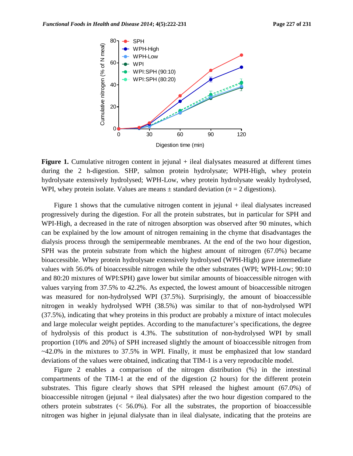

**Figure 1.** Cumulative nitrogen content in jejunal + ileal dialysates measured at different times during the 2 h-digestion. SHP, salmon protein hydrolysate; WPH-High, whey protein hydrolysate extensively hydrolysed; WPH-Low, whey protein hydrolysate weakly hydrolysed, WPI, whey protein isolate. Values are means  $\pm$  standard deviation ( $n = 2$  digestions).

Figure 1 shows that the cumulative nitrogen content in jejunal + ileal dialysates increased progressively during the digestion. For all the protein substrates, but in particular for SPH and WPI-High, a decreased in the rate of nitrogen absorption was observed after 90 minutes, which can be explained by the low amount of nitrogen remaining in the chyme that disadvantages the dialysis process through the semipermeable membranes. At the end of the two hour digestion, SPH was the protein substrate from which the highest amount of nitrogen (67.0%) became bioaccessible. Whey protein hydrolysate extensively hydrolysed (WPH-High) gave intermediate values with 56.0% of bioaccessible nitrogen while the other substrates (WPI; WPH-Low; 90:10 and 80:20 mixtures of WPI:SPH) gave lower but similar amounts of bioaccessible nitrogen with values varying from 37.5% to 42.2%. As expected, the lowest amount of bioaccessible nitrogen was measured for non-hydrolysed WPI (37.5%). Surprisingly, the amount of bioaccessible nitrogen in weakly hydrolysed WPH (38.5%) was similar to that of non-hydrolysed WPI (37.5%), indicating that whey proteins in this product are probably a mixture of intact molecules and large molecular weight peptides. According to the manufacturer's specifications, the degree of hydrolysis of this product is 4.3%. The substitution of non-hydrolysed WPI by small proportion (10% and 20%) of SPH increased slightly the amount of bioaccessible nitrogen from ~42.0% in the mixtures to 37.5% in WPI. Finally, it must be emphasized that low standard deviations of the values were obtained, indicating that TIM-1 is a very reproducible model.

Figure 2 enables a comparison of the nitrogen distribution (%) in the intestinal compartments of the TIM-1 at the end of the digestion (2 hours) for the different protein substrates. This figure clearly shows that SPH released the highest amount (67.0%) of bioaccessible nitrogen (jejunal + ileal dialysates) after the two hour digestion compared to the others protein substrates  $\langle 56.0\% \rangle$ . For all the substrates, the proportion of bioaccessible nitrogen was higher in jejunal dialysate than in ileal dialysate, indicating that the proteins are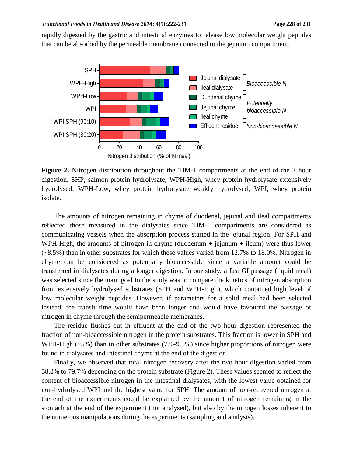rapidly digested by the gastric and intestinal enzymes to release low molecular weight peptides that can be absorbed by the permeable membrane connected to the jejunum compartment.



**Figure 2.** Nitrogen distribution throughout the TIM-1 compartments at the end of the 2 hour digestion. SHP, salmon protein hydrolysate; WPH-High, whey protein hydrolysate extensively hydrolysed; WPH-Low, whey protein hydrolysate weakly hydrolysed; WPI, whey protein isolate.

The amounts of nitrogen remaining in chyme of duodenal, jejunal and ileal compartments reflected those measured in the dialysates since TIM-1 compartments are considered as communicating vessels when the absorption process started in the jejunal region. For SPH and WPH-High, the amounts of nitrogen in chyme (duodenum  $+$  jejunum  $+$  ileum) were thus lower (~8.5%) than in other substrates for which these values varied from 12.7% to 18.0%. Nitrogen in chyme can be considered as potentially bioaccessible since a variable amount could be transferred in dialysates during a longer digestion. In our study, a fast GI passage (liquid meal) was selected since the main goal to the study was to compare the kinetics of nitrogen absorption from extensively hydrolysed substrates (SPH and WPH-High), which contained high level of low molecular weight peptides. However, if parameters for a solid meal had been selected instead, the transit time would have been longer and would have favoured the passage of nitrogen in chyme through the semipermeable membranes.

The residue flushes out in effluent at the end of the two hour digestion represented the fraction of non-bioaccessible nitrogen in the protein substrates. This fraction is lower in SPH and WPH-High  $(\sim 5\%)$  than in other substrates (7.9–9.5%) since higher proportions of nitrogen were found in dialysates and intestinal chyme at the end of the digestion.

Finally, we observed that total nitrogen recovery after the two hour digestion varied from 58.2% to 79.7% depending on the protein substrate (Figure 2). These values seemed to reflect the content of bioaccessible nitrogen in the intestinal dialysates, with the lowest value obtained for non-hydrolysed WPI and the highest value for SPH. The amount of non-recovered nitrogen at the end of the experiments could be explained by the amount of nitrogen remaining in the stomach at the end of the experiment (not analysed), but also by the nitrogen losses inherent to the numerous manipulations during the experiments (sampling and analysis).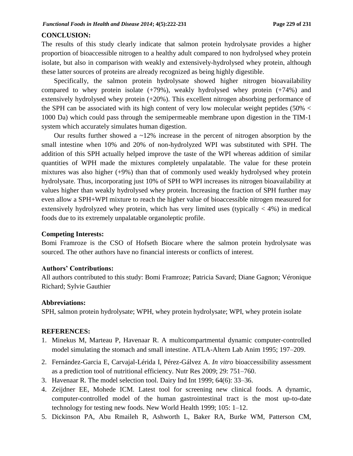### **CONCLUSION:**

The results of this study clearly indicate that salmon protein hydrolysate provides a higher proportion of bioaccessible nitrogen to a healthy adult compared to non hydrolysed whey protein isolate, but also in comparison with weakly and extensively-hydrolysed whey protein, although these latter sources of proteins are already recognized as being highly digestible.

Specifically, the salmon protein hydrolysate showed higher nitrogen bioavailability compared to whey protein isolate  $(+79%)$ , weakly hydrolysed whey protein  $(+74%)$  and extensively hydrolysed whey protein (+20%). This excellent nitrogen absorbing performance of the SPH can be associated with its high content of very low molecular weight peptides (50%  $\lt$ 1000 Da) which could pass through the semipermeable membrane upon digestion in the TIM-1 system which accurately simulates human digestion.

Our results further showed a  $\sim$ 12% increase in the percent of nitrogen absorption by the small intestine when 10% and 20% of non-hydrolyzed WPI was substituted with SPH. The addition of this SPH actually helped improve the taste of the WPI whereas addition of similar quantities of WPH made the mixtures completely unpalatable. The value for these protein mixtures was also higher (+9%) than that of commonly used weakly hydrolysed whey protein hydrolysate. Thus, incorporating just 10% of SPH to WPI increases its nitrogen bioavailability at values higher than weakly hydrolysed whey protein. Increasing the fraction of SPH further may even allow a SPH+WPI mixture to reach the higher value of bioaccessible nitrogen measured for extensively hydrolyzed whey protein, which has very limited uses (typically  $<$  4%) in medical foods due to its extremely unpalatable organoleptic profile.

### **Competing Interests:**

Bomi Framroze is the CSO of Hofseth Biocare where the salmon protein hydrolysate was sourced. The other authors have no financial interests or conflicts of interest.

### **Authors' Contributions:**

All authors contributed to this study: Bomi Framroze; Patricia Savard; Diane Gagnon; Véronique Richard; Sylvie Gauthier

#### **Abbreviations:**

SPH, salmon protein hydrolysate; WPH, whey protein hydrolysate; WPI, whey protein isolate

#### **REFERENCES:**

- 1. Minekus M, Marteau P, Havenaar R. A multicompartmental dynamic computer-controlled model simulating the stomach and small intestine. ATLA-Altern Lab Anim 1995; 197–209.
- 2. Fernández-Garcia E, Carvajal-Lérida I, Pérez-Gálvez A. *In vitro* bioaccessibility assessment as a prediction tool of nutritional efficiency. Nutr Res 2009; 29: 751–760.
- 3. Havenaar R. The model selection tool. Dairy Ind Int 1999; 64(6): 33–36.
- 4. Zeijdner EE, Mohede ICM. Latest tool for screening new clinical foods. A dynamic, computer-controlled model of the human gastrointestinal tract is the most up-to-date technology for testing new foods. New World Health 1999; 105: 1–12.
- 5. Dickinson PA, Abu Rmaileh R, Ashworth L, Baker RA, Burke WM, Patterson CM,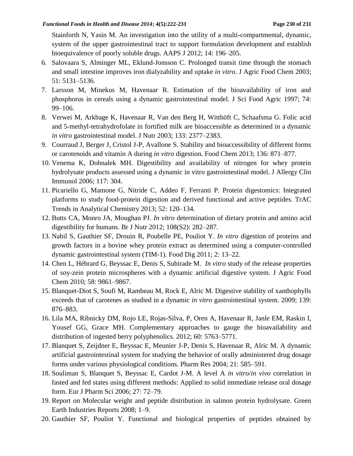Stainforth N, Yasin M. An investigation into the utility of a multi-compartmental, dynamic, system of the upper gastrointestinal tract to support formulation development and establish bioequivalence of poorly soluble drugs. AAPS J 2012; 14: 196–205.

- 6. Salovaara S, Alminger ML, Eklund-Jonsson C. Prolonged transit time through the stomach and small intestine improves iron dialyzability and uptake *in vitro*. J Agric Food Chem 2003; 51: 5131–5136.
- 7. Larsson M, Minekus M, Havenaar R. Estimation of the bioavailability of iron and phosphorus in cereals using a dynamic gastrointestinal model. J Sci Food Agric 1997; 74: 99–106.
- 8. Verwei M, Arkbage K, Havenaar R, Van den Berg H, Witthöft C, Schaafsma G. Folic acid and 5-methyl-tetrahydrofolate in fortified milk are bioaccessible as determined in a dynamic *in vitro* gastrointestinal model. J Nutr 2003; 133: 2377–2383.
- 9. Courraud J, Berger J, Cristol J-P, Avallone S. Stability and bioaccessibility of different forms or carotenoids and vitamin A during *in vitro* digestion. Food Chem 2013; 136: 871–877.
- 10. Venema K, Dohnalek MH. Digestibility and availability of nitrogen for whey protein hydrolysate products assessed using a dynamic in vitro gastrointestinal model. J Allergy Clin Immunol 2006; 117: 304.
- 11. Picariello G, Mamone G, Nitride C, Addeo F, Ferranti P. Protein digestomics: Integrated platforms to study food-protein digestion and derived functional and active peptides. TrAC Trends in Analytical Chemistry 2013; 52: 120–134.
- 12. Butts CA, Monro JA, Moughan PJ. *In vitro* determination of dietary protein and amino acid digestibility for humans. Br J Nutr 2012; 108(S2): 282–287.
- 13. Nabil S, Gauthier SF, Drouin R, Poubelle PE, Pouliot Y. *In vitro* digestion of proteins and growth factors in a bovine whey protein extract as determined using a computer-controlled dynamic gastrointestinal system (TIM-1). Food Dig 2011; 2: 13–22.
- 14. Chen L, Hébrard G, Beyssac E, Denis S, Subirade M. *In vitro* study of the release properties of soy-zein protein microspheres with a dynamic artificial digestive system. J Agric Food Chem 2010; 58: 9861–9867.
- 15. Blanquet-Diot S, Soufi M, Rambeau M, Rock E, Alric M. Digestive stability of xanthophylls exceeds that of carotenes as studied in a dynamic *in vitro* gastrointestinal system. 2009; 139: 876–883.
- 16. Lila MA, Ribnicky DM, Rojo LE, Rojas-Silva, P, Oren A, Havenaar R, Janle EM, Raskin I, Yousef GG, Grace MH. Complementary approaches to gauge the bioavailability and distribution of ingested berry polyphenolics. 2012; 60: 5763–5771.
- 17. Blanquet S, Zeijdner E, Beyssac E, Meunier J-P, Denis S, Havenaar R, Alric M. A dynamic artificial gastrointestinal system for studying the behavior of orally administered drug dosage forms under various physiological conditions. Pharm Res 2004; 21: 585–591.
- 18. Souliman S, Blanquet S, Beyssac E, Cardot J-M. A level A *in vitro*/*in vivo* correlation in fasted and fed states using different methods: Applied to solid immediate release oral dosage form. Eur J Pharm Sci 2006; 27: 72–79.
- 19. Report on Molecular weight and peptide distribution in salmon protein hydrolysate. Green Earth Industries Reports 2008; 1–9.
- 20. Gauthier SF, Pouliot Y. Functional and biological properties of peptides obtained by